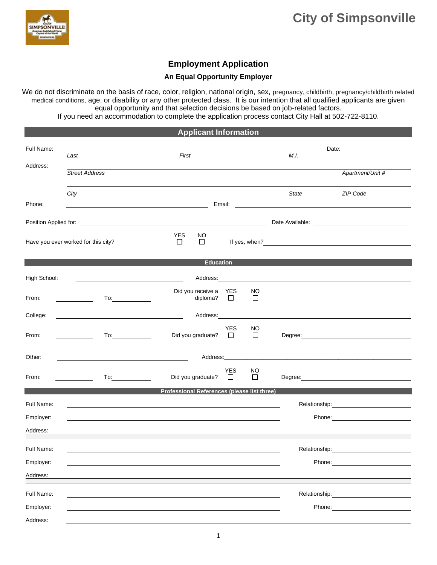

## **Employment Application**

## **An Equal Opportunity Employer**

We do not discriminate on the basis of race, color, religion, national origin, sex, pregnancy, childbirth, pregnancy/childbirth related medical conditions, age, or disability or any other protected class. It is our intention that all qualified applicants are given equal opportunity and that selection decisions be based on job-related factors.

If you need an accommodation to complete the application process contact City Hall at 502-722-8110.

| <b>Applicant Information</b>        |                                                                                                                              |                                             |                                      |                                                                                                                                                                                                                                |                                                                                                                                                                                                                                       |  |  |
|-------------------------------------|------------------------------------------------------------------------------------------------------------------------------|---------------------------------------------|--------------------------------------|--------------------------------------------------------------------------------------------------------------------------------------------------------------------------------------------------------------------------------|---------------------------------------------------------------------------------------------------------------------------------------------------------------------------------------------------------------------------------------|--|--|
| Full Name:                          | Last                                                                                                                         | First                                       |                                      | M.I.                                                                                                                                                                                                                           | Date: <u>Date:</u>                                                                                                                                                                                                                    |  |  |
| Address:                            | <b>Street Address</b>                                                                                                        |                                             |                                      |                                                                                                                                                                                                                                | Apartment/Unit #                                                                                                                                                                                                                      |  |  |
| Phone:                              | City<br><u> 1989 - Johann Barbara, martin amerikan basar dan basa dan basar dan basar dalam basa dalam basa dan basa dan</u> |                                             |                                      | State                                                                                                                                                                                                                          | ZIP Code                                                                                                                                                                                                                              |  |  |
|                                     |                                                                                                                              |                                             |                                      |                                                                                                                                                                                                                                |                                                                                                                                                                                                                                       |  |  |
| Have you ever worked for this city? |                                                                                                                              | <b>YES</b><br>NO.<br>$\Box$<br>$\Box$       |                                      |                                                                                                                                                                                                                                | If yes, when?<br><u>Consequently</u> consequently and the set of the set of the set of the set of the set of the set of the set of the set of the set of the set of the set of the set of the set of the set of the set of the set of |  |  |
|                                     |                                                                                                                              | <b>Education</b>                            |                                      |                                                                                                                                                                                                                                |                                                                                                                                                                                                                                       |  |  |
| High School:                        |                                                                                                                              |                                             | Address: National Address:           |                                                                                                                                                                                                                                |                                                                                                                                                                                                                                       |  |  |
| From:                               | $\overline{\phantom{a}}$                                                                                                     | Did you receive a YES<br>diploma?           | NO<br>$\Box$<br>$\Box$               |                                                                                                                                                                                                                                |                                                                                                                                                                                                                                       |  |  |
| College:                            |                                                                                                                              |                                             |                                      | Address: Note and the set of the set of the set of the set of the set of the set of the set of the set of the set of the set of the set of the set of the set of the set of the set of the set of the set of the set of the se |                                                                                                                                                                                                                                       |  |  |
| From:                               | To:                                                                                                                          | Did you graduate?                           | <b>YES</b><br>NO<br>$\Box$<br>$\Box$ |                                                                                                                                                                                                                                | Degree: Note: Note: Note: Note: Note: Note: Note: Note: Note: Note: Note: Note: Note: Note: Note: No                                                                                                                                  |  |  |
| Other:                              | <u> 1989 - Johann Barbara, marka a shekara tsa 1989 - An tsa 1989 - An tsa 1989 - An tsa 1989 - An tsa 1989 - An</u>         |                                             |                                      | Address: Address: Address: Address: Address: Address: Address: Address: Address: Address: Address: Address: Address: Address: Address: Address: Address: Address: Address: Address: Address: Address: Address: Address: Addres |                                                                                                                                                                                                                                       |  |  |
| From:                               | To:<br><b>Contract Contract Contract</b>                                                                                     | Did you graduate?                           | <b>YES</b><br>NO<br>$\Box$<br>$\Box$ |                                                                                                                                                                                                                                |                                                                                                                                                                                                                                       |  |  |
|                                     |                                                                                                                              | Professional References (please list three) |                                      |                                                                                                                                                                                                                                |                                                                                                                                                                                                                                       |  |  |
| Full Name:                          |                                                                                                                              |                                             |                                      |                                                                                                                                                                                                                                |                                                                                                                                                                                                                                       |  |  |
| Employer:                           |                                                                                                                              |                                             |                                      |                                                                                                                                                                                                                                | Phone: 2000 2000 2010 2010 2010 2010 2021 2022 2022 2023 2024 2022 2022 2023 2024 2022 2023 2024 2025 2026 202                                                                                                                        |  |  |
| Address:                            |                                                                                                                              |                                             |                                      |                                                                                                                                                                                                                                |                                                                                                                                                                                                                                       |  |  |
| Full Name:                          |                                                                                                                              |                                             |                                      | Relationship:                                                                                                                                                                                                                  |                                                                                                                                                                                                                                       |  |  |
| Employer:                           |                                                                                                                              |                                             |                                      | Phone:                                                                                                                                                                                                                         |                                                                                                                                                                                                                                       |  |  |
| Address:                            |                                                                                                                              |                                             |                                      |                                                                                                                                                                                                                                |                                                                                                                                                                                                                                       |  |  |
| Full Name:                          |                                                                                                                              |                                             |                                      | Relationship:                                                                                                                                                                                                                  |                                                                                                                                                                                                                                       |  |  |
| Employer:                           |                                                                                                                              |                                             |                                      | Phone:                                                                                                                                                                                                                         |                                                                                                                                                                                                                                       |  |  |
| Address:                            |                                                                                                                              |                                             |                                      |                                                                                                                                                                                                                                |                                                                                                                                                                                                                                       |  |  |